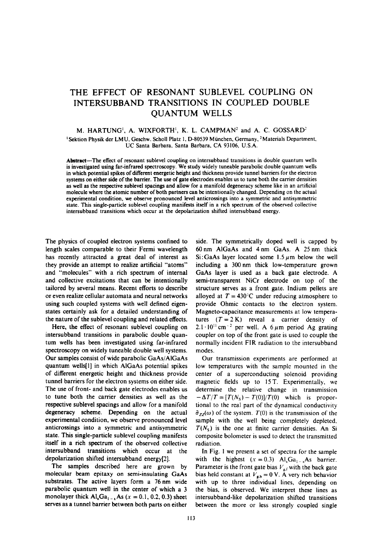## THE EFFECT OF RESONANT SUBLEVEL COUPLING ON INTERSUBBAND TRANSITIONS IN COUPLED DOUBLE QUANTUM WELLS

## M. HARTUNG<sup>1</sup>, A. WIXFORTH<sup>1</sup>, K. L. CAMPMAN<sup>2</sup> and A. C. GOSSARD<sup>2</sup>

'Sektion Physik der LMU, Geschw. Scholl Platz 1, D-80539 Miinchen, Germany, \*Materials Department UC Santa Barbara, Santa Barbara, CA 93106, U.S.A.

Abstract-The effect of resonant sublevel coupling on intersubband transitions in double quantum wells is investigated using far-infrared spectroscopy. We study widely tuneable parabolic double quantum wells in which potential spikes of different energetic height and thickness provide tunnel barriers for the electron systems on either side of the barrier. The use of gate electrodes enables us to tune both the carrier densities as well as the respective sublevel spacings and allow for a manifold degeneracy scheme like in an artificial molecule where the atomic number of both partners can be intentionally changed. Depending on the actual experimental condition, we observe pronounced level anticrossings into a symmetric and antisymmetric state. This single-particle sublevel coupling manifests itself in a rich spectrum of the observed collective intersubband transitions which occur at the depolarization shifted intersubband energy.

The physics of coupled electron systems confined to length scales comparable to their Fermi wavelength has recently attracted a great deal of interest as they provide an attempt to realize artificial "atoms" and "molecules" with a rich spectrum of internal and collective excitations that can be intentionally tailored by several means. Recent efforts to describe or even realize cellular automata and neural networks using such coupled systems with well defined eigenstates certainly ask for a detailed understanding of the nature of the sublevel coupling and related effects.

Here, the effect of resonant sublevel coupling on intersubband transitions in parabolic double quantum wells has been investigated using far-infrared spectroscopy on widely tuneable double well systems. Our samples consist of wide parabolic GaAs/AlGaAs quantum wells(l] in which AlGaAs potential spikes of different energetic height and thickness provide tunnel barriers for the electron systems on either side. The use of front- and back gate electrodes enables us to tune both the carrier densities as well as the respective sublevel spacings and allow for a manifold degeneracy scheme. Depending on the actual experimental condition, we observe pronounced level anticrossings into a symmetric and antisymmetric state. This single-particle sublevel coupling manifests itself in a rich spectrum of the observed collective intersubband transitions which occur at the depolarization shifted intersubband energy[2].

The samples described here are grown by molecular beam epitaxy on semi-insulating GaAs substrates. The active layers form a 76 nm wide parabolic quantum well in the center of which a 3 monolayer thick  $\text{Al}_x\text{Ga}_{1-x}$  As (x = 0.1, 0.2, 0.3) sheet serves as a tunnel barrier between both parts on either side. The symmetrically doped well is capped by 60 nm AlGaAs and 4nm GaAs. A 25 nm thick  $Si:GaAs$  layer located some 1.5  $\mu$ m below the well including a 300 nm thick low-temperature grown GaAs layer is used as a back gate electrode. A semi-transparent NiCr electrode on top of the structure serves as a front gate. Indium pellets are alloyed at  $T = 430^{\circ}$ C under reducing atmosphere to provide Ohmic contacts to the electron system. Magneto-capacitance measurements at low temperatures  $(T = 2 K)$  reveal a carrier density of  $2.1 \cdot 10^{11}$  cm<sup>-2</sup> per well. A 6  $\mu$ m period Ag grating coupler on top of the front gate is used to couple the normally incident FIR radiation to the intersubband modes.

Our transmission experiments are performed at low temperatures with the sample mounted in the center of a superconducting solenoid providing magnetic fields up to 15 T. Experimentally, we determine the relative change in transmission  $-\Delta T/T = [T(N<sub>S</sub>) - T(0)]/T(0)$  which is proportional to the real part of the dynamical conductivity  $\tilde{\sigma}_{zz}(\omega)$  of the system. *T*(0) is the transmission of the sample with the well being completely depleted,  $T(N<sub>S</sub>)$  is the one at finite carrier densities. An Si composite bolometer is used to detect the transmitted radiation.

In Fig. I we present a set of spectra for the sample with the highest  $(x = 0.3)$   $Al_xGa_{1-x}As$  barrier. Parameter is the front gate bias  $V_{\text{g,f}}$  with the back gate bias held constant at  $V_{\rm g,b}= 0$  V. A very rich behavior with up to three individual lines, depending on the bias, is observed. We interpret these lines as intersubband-like depolarization shifted transitions between the more or less strongly coupled single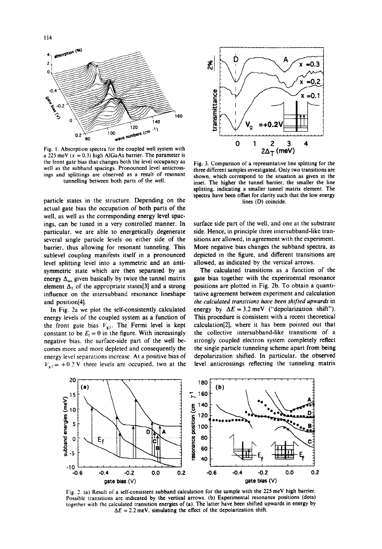

**Fig.** I. **Absorption spectra for the coupled well system with a**  $225 \text{ meV}$  ( $x = 0.3$ ) high **AlGaAs** barrier. The parameter is **the front gate bias that changes both the level occupancy as well as the subband spacings. Pronounced** level anticrossings **and splittings are observed as a result of resonant tunnelling between both parts of the well.**

particle states in the structure. Depending on the actual gate bias the occupation of both parts of the well, as well as the corresponding energy **level spac**ings, can be tuned in a very controlled manner. In particular. we are able to energetically degenerate several single particle levels on either side of the barrier, thus allowing for resonant tunneling. This sublevel coupling manifests itself in a pronounced level splitting level into a symmetric and an antisymmetric state which are then separated by an energy  $\Delta_{\text{ssa}}$  given basically by twice the tunnel matrix element  $\Delta_T$  of the appropriate states[3] and a strong influence on the intersubband resonance lineshape and position[4].

In Fig. 2a we plot the self-consistently calculated energy levels of the coupled system as a function of the front gate bias  $V_{\text{g.f.}}$  The Fermi level is kept constant to be  $E_f = 0$  in the figure. With increasingly negative bias. the surface-side part of the well becomes more and more depleted and consequently the energy level separations increase. At a positive bias of  $V_{\text{eff}} = +0.2 \text{ V}$  three levels are occupied, two at the



**Fig. 3. Comparison of a representative line splitting for the three different samples investigated. Only two transitions are shown, which correspond to the situation as given in the inset. The higher the tunnel barrier, the smaller the line splitting, indicating a smaller tunnel matrix element. The spectra have been offset for clarity such that the low energy lines (D) coincide.**

surface side part of the well, and one at the substrate side. Hence, in principle three intersubband-like transitions are allowed, in agreement with the experiment. More negative bias changes the subband spectra, as depicted in the figure, and different transitions are allowed, as indicated by the vertical arrows.

The calculated transitions as a function of the gate bias together with the experimental resonance positions are plotted in Fig. 2b. To obtain a quantitative agreement between experiment and calculation *the calculated transitions have been shiJted upwards* in energy by  $\Delta E = 3.2$  meV ("depolarization shift"). This procedure is consistent with a recent theoretical calculation[2], where it has been pointed out that the collective intersubband-like transitions of a strongly coupled electron system completely reflect the single particle tunneling scheme apart from being depolarization shifted. In particular, the **observed** level anticrossings reflecting the tunneling matrix



Fig. 2. (a) Result of a self-consistent subband calculation for the sample with the 225 meV high barrier. **Possible transitions are indicated by the vertical arrows. (b) Experimental resonance positions (dots)** together with the calculated transition energies of (a). The latter have been shifted upwards in energy by  $\Delta E = 2.2$  meV, simulating the effect of the depolarization shift.